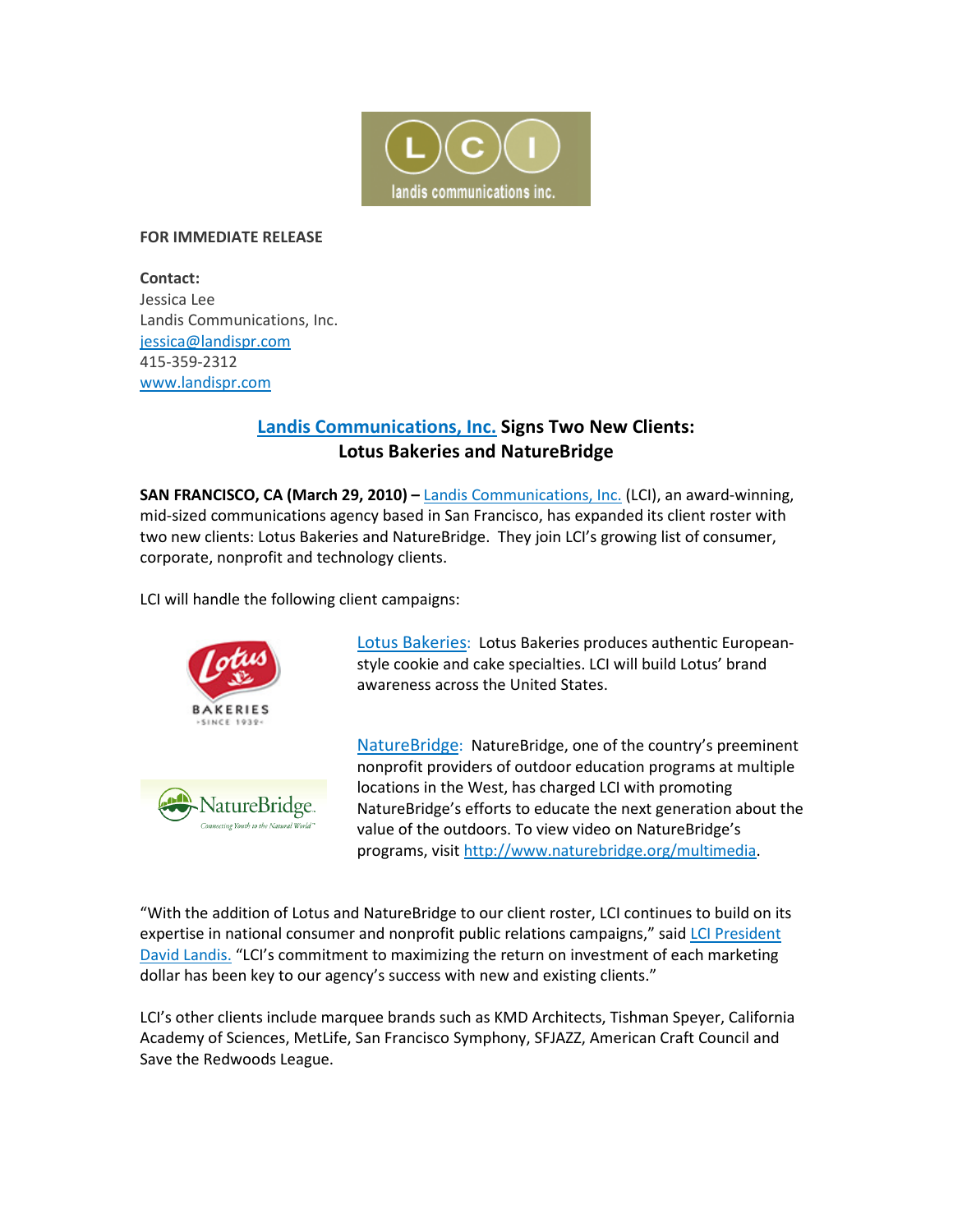

## FOR IMMEDIATE RELEASE

Contact: Jessica Lee Landis Communications, Inc. jessica@landispr.com 415-359-2312 www.landispr.com

## Landis Communications, Inc. Signs Two New Clients: Lotus Bakeries and NatureBridge

SAN FRANCISCO, CA (March 29, 2010) – Landis Communications, Inc. (LCI), an award-winning, mid-sized communications agency based in San Francisco, has expanded its client roster with two new clients: Lotus Bakeries and NatureBridge. They join LCI's growing list of consumer, corporate, nonprofit and technology clients.

LCI will handle the following client campaigns:



Lotus Bakeries: Lotus Bakeries produces authentic Europeanstyle cookie and cake specialties. LCI will build Lotus' brand awareness across the United States.

NatureBridge: NatureBridge, one of the country's preeminent nonprofit providers of outdoor education programs at multiple locations in the West, has charged LCI with promoting NatureBridge's efforts to educate the next generation about the value of the outdoors. To view video on NatureBridge's programs, visit http://www.naturebridge.org/multimedia.

"With the addition of Lotus and NatureBridge to our client roster, LCI continues to build on its expertise in national consumer and nonprofit public relations campaigns," said LCI President David Landis. "LCI's commitment to maximizing the return on investment of each marketing dollar has been key to our agency's success with new and existing clients."

LCI's other clients include marquee brands such as KMD Architects, Tishman Speyer, California Academy of Sciences, MetLife, San Francisco Symphony, SFJAZZ, American Craft Council and Save the Redwoods League.